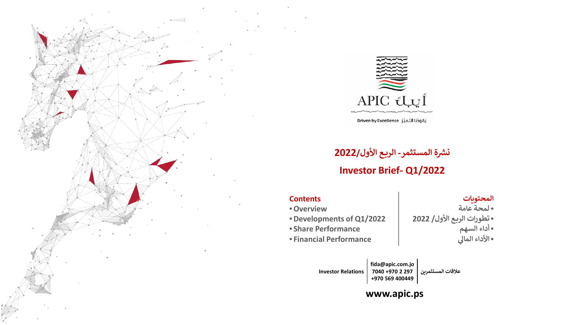

يَقودُنا التميُّز Driven by Excellence

# **- ال��ـع الأول2022/ ث��ة المستثمر**

## **Investor Brief- Q1/2022**

#### **Contents**

- •**Overview**
- •**Developments of Q1/2022**
- **Share Performance**
- **Financial Performance**

#### **المحت��ات**

•**لمحة عامة** •**تطورات ال��ـع الأول/ 2022** •**أداء السهم ي الأداء الما�** •

**fida@apic.com.jo 7040 +970 2 297 +970 569 400449 Investor Relations**

علاقات المستثمري<u>ن</u>

### **www.apic.ps**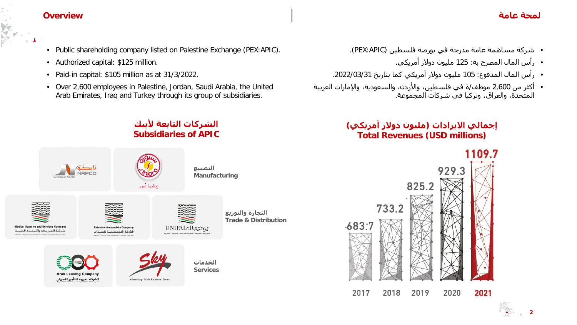#### **لمحة عامة Overview**

**2**

- Public shareholding company listed on Palestine Exchange (PEX:APIC).
- Authorized capital: \$125 million.
- Paid-in capital: \$105 million as at 31/3/2022.
- Over 2,600 employees in Palestine, Jordan, Saudi Arabia, the United Arab Emirates, Iraq and Turkey through its group of subsidiaries.

**الشركات التابعة لأيبك Subsidiaries of APIC**

- شركة مساھمة عامة مدرجة في بورصة فلسطین (APIC:PEX(.
	- رأس المال المصرح به: 125 ملیون دولار أمريكي.
- رأس المال المدفوع: 105 ملیون دولار أمريكي كما بتاريخ .2022/03/31
- أكثر من 2,600 موظف/ة في فلسطین، والأردن، والسعودية، والإمارات العربیة المتحدة، والعراق، وتركیا في شركات المجموعة.

### **إجمالي الايرادات (ملیون دولار أمريكي) Total Revenues (USD millions)**

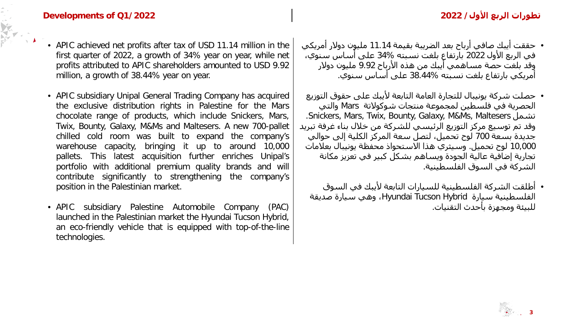- APIC achieved net profits after tax of USD 11.14 million in the first quarter of 2022, a growth of 34% year on year, while net profits attributed to APIC shareholders amounted to USD 9.92 million, a growth of 38.44% year on year.
- APIC subsidiary Unipal General Trading Company has acquired the exclusive distribution rights in Palestine for the Mars chocolate range of products, which include Snickers, Mars, Twix, Bounty, Galaxy, M&Ms and Maltesers. A new 700-pallet chilled cold room was built to expand the company's warehouse capacity, bringing it up to around 10,000 pallets. This latest acquisition further enriches Unipal's portfolio with additional premium quality brands and will contribute significantly to strengthening the company's position in the Palestinian market.
- APIC subsidiary Palestine Automobile Company (PAC) launched in the Palestinian market the Hyundai Tucson Hybrid, an eco-friendly vehicle that is equipped with top-of-the-line technologies.
- حققت أيبك صافي أرباح بعد الضريبة بقیمة 11.14 ملیون دولار أمريكي في الربع الأول 2022 بارتفاع بلغت نسبته 34% على أساس سنوي، وقد بلغت حصة مساھمي أيبك من ھذه الأرباح 9.92 ملیون دولار أمريكي بارتفاع بلغت نسبته 38.44% على أساس سنوي.
- حصلت شركة يونیبال للتجارة العامة التابعة لأيبك على حقوق التوزيع الحصرية في فلسطین لمجموعة منتجات شوكولاتة Mars والتي .Snickers, Mars, Twix, Bounty, Galaxy, M&Ms, Maltesers تشمل وقد تم توسیع مركز التوزيع الرئیسي للشركة من خلال بناء غرفة تبريد جديدة بسعة 700 لوح تحمیل، لتصل سعة المركز الكلیة إلى حوالي 10,000 لوح تحمیل. وسیثري ھذا الاستحواذ محفظة يونیبال بعلامات تجارية إضافیة عالیة الجودة ويساھم بشكل كبیر في تعزيز مكانة الشركة في السوق الفلسطینیة.
	- أطلقت الشركة الفلسطینیة للسیارات التابعة لأيبك في السوق الفلسطینیة سیارة Hybrid Tucson Hyundai، وھي سیارة صديقة للبیئة ومجھزة بأحدث التقنیات.

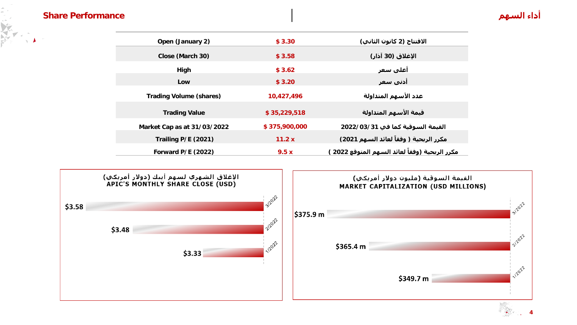#### **أداء السھم Performance Share**

V

 $\sqrt{4}$ 

| Open (January 2)               | \$3.30        | الافتتاح (2 كانون الثاني)                         |
|--------------------------------|---------------|---------------------------------------------------|
| Close (March 30)               | \$3.58        | الإغلاق (30 آذار)                                 |
| High                           | \$3.62        | أعلي سعر                                          |
| Low                            | \$3.20        | أدني سعر                                          |
| <b>Trading Volume (shares)</b> | 10,427,496    | عدد الأسهم المتداولة                              |
| <b>Trading Value</b>           | \$35,229,518  | قيمة الأسهم المتداولة                             |
| Market Cap as at 31/03/2022    | \$375,900,000 | القيمة السوقية كما في 3022/03/31                  |
| Trailing P/E (2021)            | 11.2x         | مكرر الربحية ( وفقاً لعائد السهم 2021)            |
| Forward P/E (2022)             | 9.5x          | َ مكرر الربحية (وفقاً لعائد السـهم المتوقع 2022 ː |